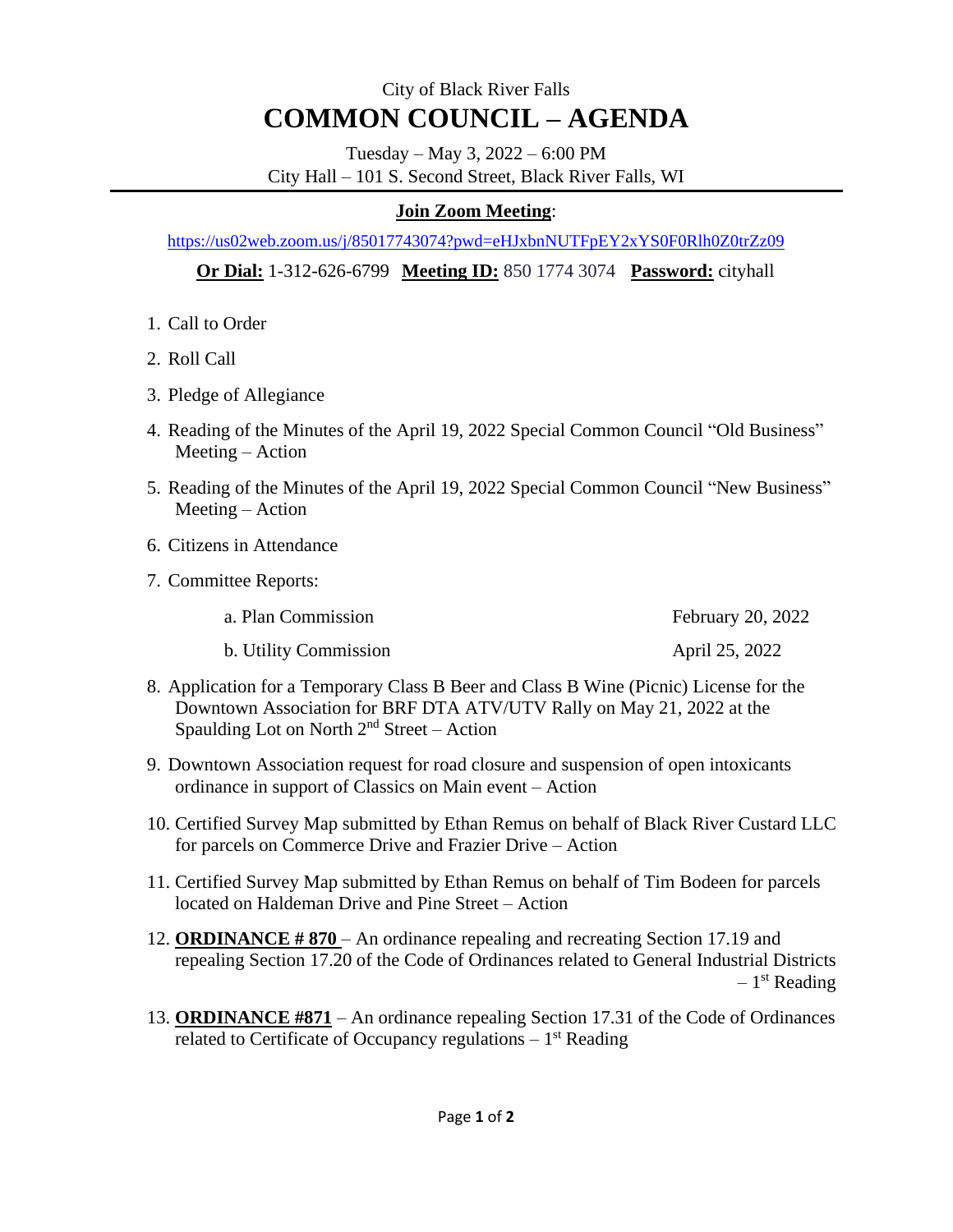## City of Black River Falls **COMMON COUNCIL – AGENDA**

Tuesday – May 3, 2022 – 6:00 PM City Hall – 101 S. Second Street, Black River Falls, WI

## **Join Zoom Meeting**:

<https://us02web.zoom.us/j/85017743074?pwd=eHJxbnNUTFpEY2xYS0F0Rlh0Z0trZz09>

 **Or Dial:** 1-312-626-6799 **Meeting ID:** 850 1774 3074 **Password:** cityhall

- 1. Call to Order
- 2. Roll Call
- 3. Pledge of Allegiance
- 4. Reading of the Minutes of the April 19, 2022 Special Common Council "Old Business" Meeting – Action
- 5. Reading of the Minutes of the April 19, 2022 Special Common Council "New Business" Meeting – Action
- 6. Citizens in Attendance
- 7. Committee Reports:

| a. Plan Commission | February 20, 2022 |  |
|--------------------|-------------------|--|
|                    |                   |  |

- b. Utility Commission April 25, 2022
- 8. Application for a Temporary Class B Beer and Class B Wine (Picnic) License for the Downtown Association for BRF DTA ATV/UTV Rally on May 21, 2022 at the Spaulding Lot on North  $2<sup>nd</sup>$  Street – Action
- 9. Downtown Association request for road closure and suspension of open intoxicants ordinance in support of Classics on Main event – Action
- 10. Certified Survey Map submitted by Ethan Remus on behalf of Black River Custard LLC for parcels on Commerce Drive and Frazier Drive – Action
- 11. Certified Survey Map submitted by Ethan Remus on behalf of Tim Bodeen for parcels located on Haldeman Drive and Pine Street – Action
- 12. **ORDINANCE # 870** An ordinance repealing and recreating Section 17.19 and repealing Section 17.20 of the Code of Ordinances related to General Industrial Districts – 1 st Reading
- 13. **ORDINANCE #871** An ordinance repealing Section 17.31 of the Code of Ordinances related to Certificate of Occupancy regulations  $-1<sup>st</sup>$  Reading